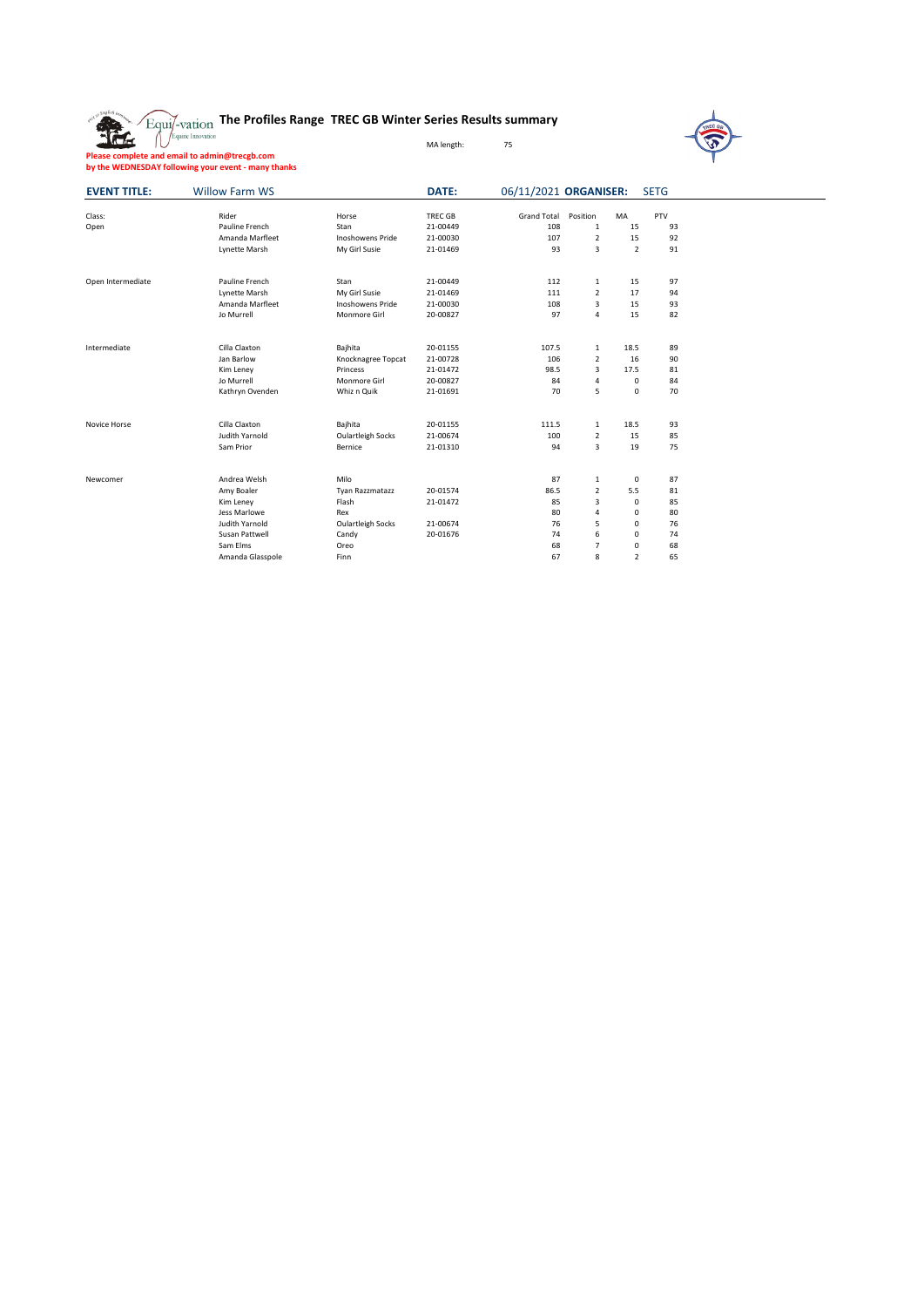|  | Equi/-vation The Profiles Range TREC GB Winter Series Results summary |  |  |
|--|-----------------------------------------------------------------------|--|--|
|  |                                                                       |  |  |



L,

**Please complete and email to admin@trecgb.com by the WEDNESDAY following your event - many thanks**

| <b>EVENT TITLE:</b> | <b>Willow Farm WS</b> |                          | DATE:          | 06/11/2021 ORGANISER: |                |                | <b>SETG</b> |
|---------------------|-----------------------|--------------------------|----------------|-----------------------|----------------|----------------|-------------|
| Class:              | Rider                 | Horse                    | <b>TREC GB</b> | <b>Grand Total</b>    | Position       | MA             | PTV         |
| Open                | Pauline French        | Stan                     | 21-00449       | 108                   | 1              | 15             | 93          |
|                     | Amanda Marfleet       | <b>Inoshowens Pride</b>  | 21-00030       | 107                   | $\overline{2}$ | 15             | 92          |
|                     |                       |                          |                |                       |                |                |             |
|                     | Lynette Marsh         | My Girl Susie            | 21-01469       | 93                    | 3              | $\overline{2}$ | 91          |
| Open Intermediate   | Pauline French        | Stan                     | 21-00449       | 112                   | $\mathbf{1}$   | 15             | 97          |
|                     | Lynette Marsh         | My Girl Susie            | 21-01469       | 111                   | $\overline{2}$ | 17             | 94          |
|                     | Amanda Marfleet       | <b>Inoshowens Pride</b>  | 21-00030       | 108                   | 3              | 15             | 93          |
|                     | Jo Murrell            | Monmore Girl             | 20-00827       | 97                    | 4              | 15             | 82          |
|                     |                       |                          |                |                       |                |                |             |
| Intermediate        | Cilla Claxton         | Bajhita                  | 20-01155       | 107.5                 | $\mathbf{1}$   | 18.5           | 89          |
|                     | Jan Barlow            | Knocknagree Topcat       | 21-00728       | 106                   | $\overline{2}$ | 16             | 90          |
|                     | Kim Leney             | Princess                 | 21-01472       | 98.5                  | 3              | 17.5           | 81          |
|                     | Jo Murrell            | Monmore Girl             | 20-00827       | 84                    | 4              | $\mathbf 0$    | 84          |
|                     | Kathryn Ovenden       | Whiz n Quik              | 21-01691       | 70                    | 5              | $\mathbf 0$    | 70          |
| Novice Horse        | Cilla Claxton         | Bajhita                  | 20-01155       | 111.5                 | $\mathbf{1}$   | 18.5           | 93          |
|                     | Judith Yarnold        | <b>Oulartleigh Socks</b> | 21-00674       | 100                   | $\overline{2}$ | 15             | 85          |
|                     | Sam Prior             | Bernice                  | 21-01310       | 94                    | 3              | 19             | 75          |
|                     |                       |                          |                |                       |                |                |             |
| Newcomer            | Andrea Welsh          | Milo                     |                | 87                    | $\mathbf{1}$   | $\mathbf 0$    | 87          |
|                     | Amy Boaler            | Tyan Razzmatazz          | 20-01574       | 86.5                  | $\overline{2}$ | 5.5            | 81          |
|                     | Kim Leney             | Flash                    | 21-01472       | 85                    | 3              | $\mathbf 0$    | 85          |
|                     | Jess Marlowe          | Rex                      |                | 80                    | 4              | 0              | 80          |
|                     | Judith Yarnold        | Oulartleigh Socks        | 21-00674       | 76                    | 5              | 0              | 76          |
|                     | Susan Pattwell        | Candy                    | 20-01676       | 74                    | 6              | 0              | 74          |
|                     | Sam Elms              | Oreo                     |                | 68                    | $\overline{7}$ | 0              | 68          |
|                     | Amanda Glasspole      | Finn                     |                | 67                    | 8              | $\overline{2}$ | 65          |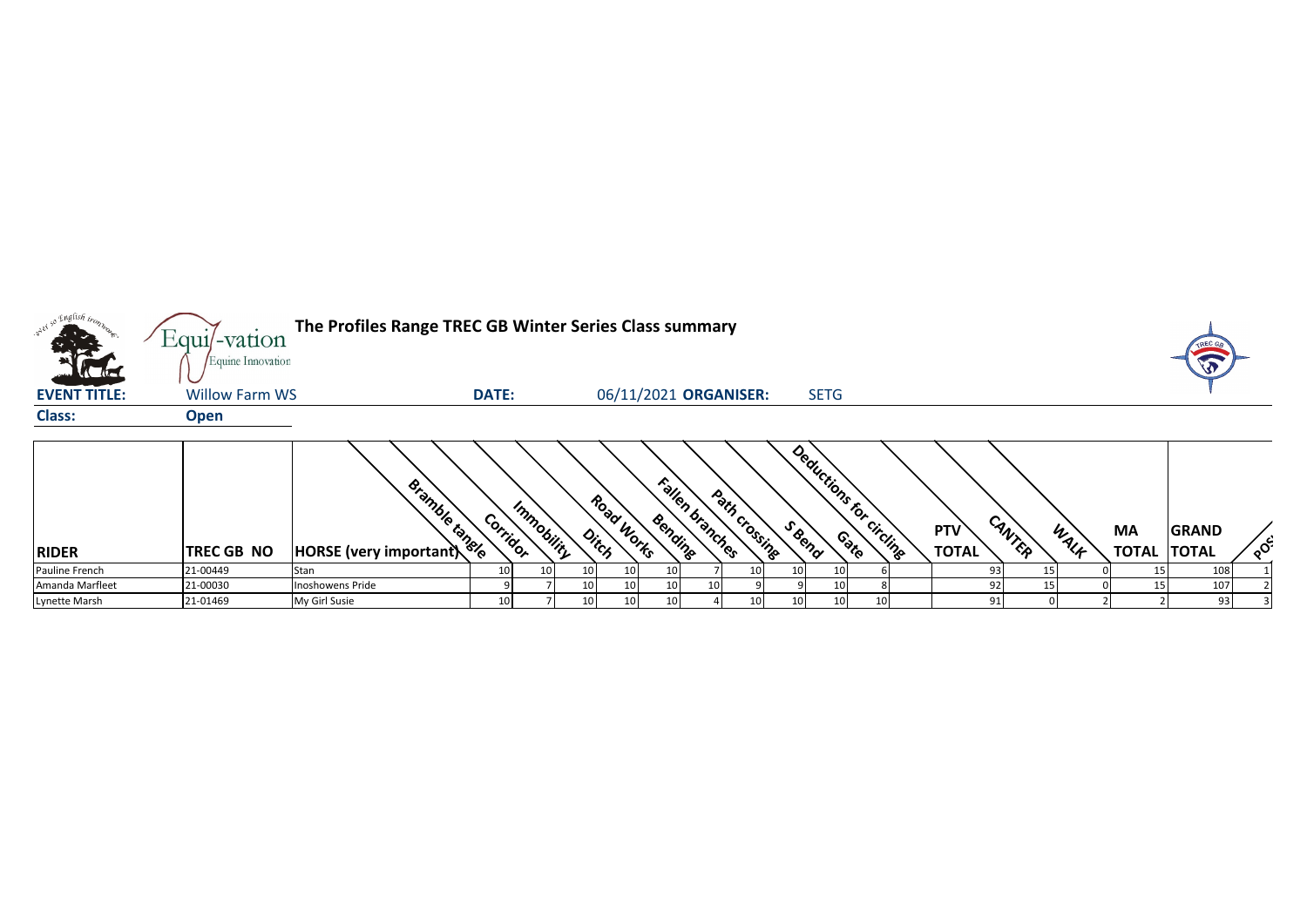|                     | $Equi$ -vation                             | The Profiles Range TREC GB Winter Series Class summary |              |                     |                                    |                                  |        |                         |                            |        |      |                    | <b>TREC G</b>                |                                   |
|---------------------|--------------------------------------------|--------------------------------------------------------|--------------|---------------------|------------------------------------|----------------------------------|--------|-------------------------|----------------------------|--------|------|--------------------|------------------------------|-----------------------------------|
| <b>EVENT TITLE:</b> | Equine Innovation<br><b>Willow Farm WS</b> |                                                        | <b>DATE:</b> |                     | 06/11/2021 ORGANISER:              |                                  |        | <b>SETG</b>             |                            |        |      |                    | T                            |                                   |
| <b>Class:</b>       | <b>Open</b>                                |                                                        |              |                     |                                    |                                  |        |                         |                            |        |      |                    |                              |                                   |
| <b>RIDER</b>        | TREC GB NO                                 | <b>EMAGE (VERY Important)</b>                          | Corridor     | Immobility<br>Ditch | Road Works<br>Bending              | Fallen branches<br>Path crossing | S Bend | Deductions for circling | <b>PTV</b><br><b>TOTAL</b> | CANTER | WALF | MA<br><b>TOTAL</b> | <b>GRAND</b><br><b>TOTAL</b> | $\circ^{\mathsf{c}^{\mathsf{c}}}$ |
| Pauline French      | 21-00449                                   | Stan                                                   | 10           | 10 <sup>1</sup>     | 10<br>10 I                         |                                  |        |                         |                            | 93     |      |                    | 108                          |                                   |
| Amanda Marfleet     | 21-00030                                   | <b>Inoshowens Pride</b>                                |              | 10                  | 10<br>10                           | 10                               |        | 10                      |                            | 92     |      |                    | 107                          |                                   |
| Lynette Marsh       | 21-01469                                   | My Girl Susie                                          | 10           | 10 <sub>1</sub>     | 10 <sup>1</sup><br>10 <sub>1</sub> |                                  | 10     | 10                      |                            | 91     |      |                    | 93                           |                                   |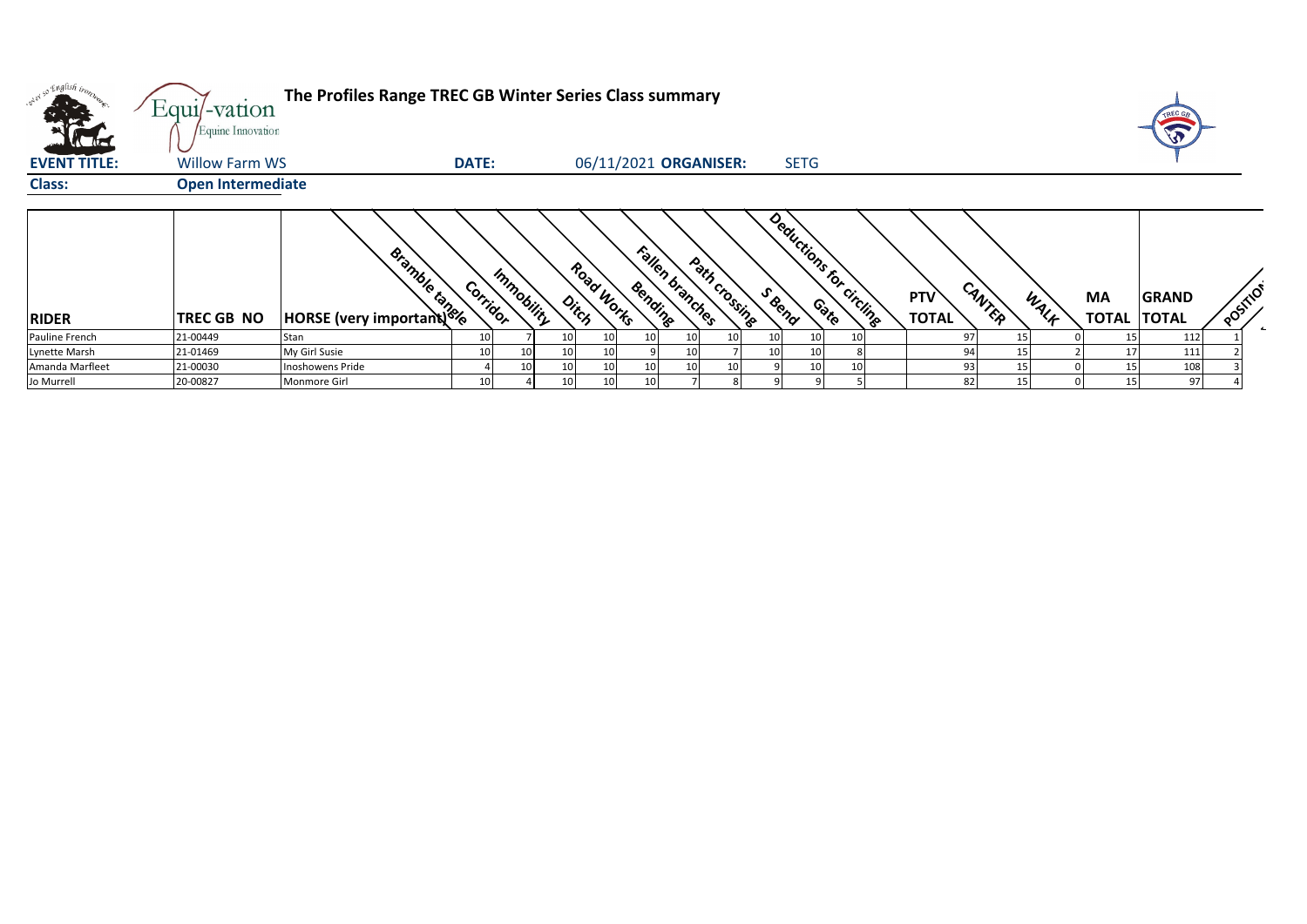|                     | Equi/-vation<br>Equine Innovation | The Profiles Range TREC GB Winter Series Class summary |              |            |    |                       |                 |                                  |    |        |             |                         |                            |                |           |                                    |          |
|---------------------|-----------------------------------|--------------------------------------------------------|--------------|------------|----|-----------------------|-----------------|----------------------------------|----|--------|-------------|-------------------------|----------------------------|----------------|-----------|------------------------------------|----------|
| <b>EVENT TITLE:</b> | <b>Willow Farm WS</b>             |                                                        | <b>DATE:</b> |            |    | 06/11/2021 ORGANISER: |                 |                                  |    |        | <b>SETG</b> |                         |                            |                |           |                                    |          |
| <b>Class:</b>       | <b>Open Intermediate</b>          |                                                        |              |            |    |                       |                 |                                  |    |        |             |                         |                            |                |           |                                    |          |
| <b>RIDER</b>        | <b>TREC GB NO</b>                 | Bishbacks                                              | Corridor     | Immobility |    | Road Works<br>Ditch   | Bending         | Fallen branches<br>Path crossing |    | S Beno |             | Deductions for circling | <b>PTV</b><br><b>TOTAL</b> | CANTER<br>WALF | <b>MA</b> | <b>GRAND</b><br><b>TOTAL TOTAL</b> | POSITION |
| Pauline French      | 21-00449                          | Stan                                                   |              |            | 10 | 10                    | 10 <sup>1</sup> | 10                               | 10 | 10     | 10          |                         | 97                         |                | 15        | 112                                |          |
| Lynette Marsh       | 21-01469                          | My Girl Susie                                          |              |            |    | 10                    |                 | 10 <sup>1</sup>                  |    | 10     | 10          |                         | 94                         | 151            | 17        | 111                                |          |
| Amanda Marfleet     | 21-00030                          | Inoshowens Pride                                       |              | 10         | 10 | 10                    | 10              | 10 <sup>1</sup>                  | 10 |        | 10          |                         | 93                         |                | 15        | 108                                |          |
| Jo Murrell          | 20-00827                          | Monmore Girl                                           |              |            | 10 | 10                    | 10 <sup>1</sup> |                                  |    |        |             |                         | 82                         | 15             | 15        | 97                                 |          |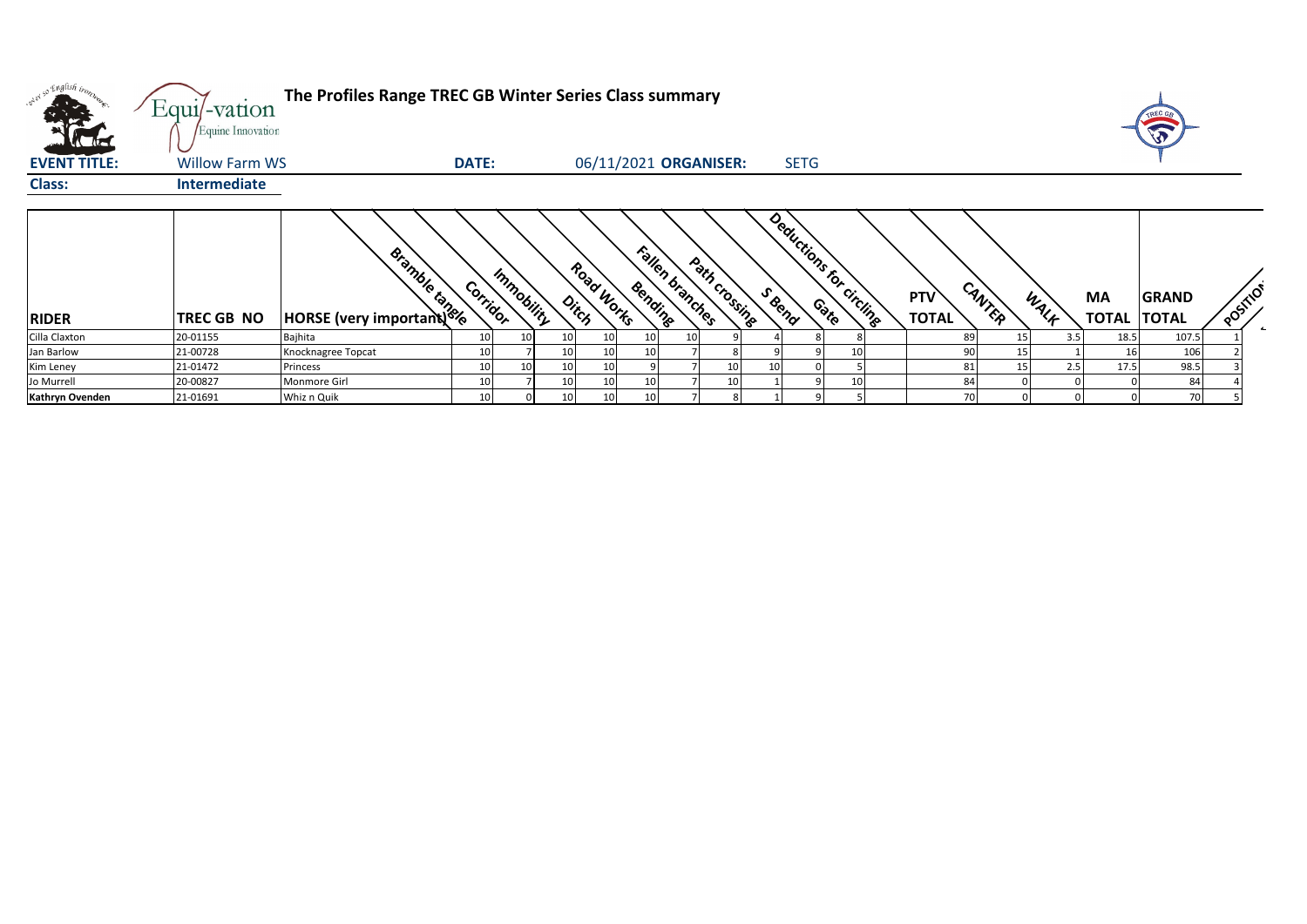| vier so English ison<br>$\mathcal{F}_\mathcal{F}$ | Equi/-vation<br>Equine Innovation | The Profiles Range TREC GB Winter Series Class summary                                                                                                                                                                               |              |            |                 |                     |                 |                       |               |        |             |                         |                     |        |      |     |                          | J     |          |  |
|---------------------------------------------------|-----------------------------------|--------------------------------------------------------------------------------------------------------------------------------------------------------------------------------------------------------------------------------------|--------------|------------|-----------------|---------------------|-----------------|-----------------------|---------------|--------|-------------|-------------------------|---------------------|--------|------|-----|--------------------------|-------|----------|--|
| <b>EVENT TITLE:</b>                               | <b>Willow Farm WS</b>             |                                                                                                                                                                                                                                      | <b>DATE:</b> |            |                 |                     |                 | 06/11/2021 ORGANISER: |               |        | <b>SETG</b> |                         |                     |        |      |     |                          |       |          |  |
| <b>Class:</b>                                     | Intermediate                      |                                                                                                                                                                                                                                      |              |            |                 |                     |                 |                       |               |        |             |                         |                     |        |      |     |                          |       |          |  |
| <b>RIDER</b>                                      | <b>TREC GB NO</b>                 | <b>EMANUE EN 1978 EN 1979 EN 1979 EN 1979 EN 1979 EN 1979 EN 1979 EN 1979 EN 1979 EN 1979 EN 1979 EN 1979 EN 1979 EN 1979 EN 1979 EN 1979 EN 1979 EN 1979 EN 1979 EN 1979 EN 1979 EN 1979 EN 1979 EN 1979 EN 1979 EN 1979 EN 197</b> | Corridor     | Immobility |                 | Road Works<br>Ditch | Bending         | Fallen branches       | Path crossing | S Beno |             | Deductions for circling | PTV<br><b>TOTAL</b> | CANTER | WALK |     | MA<br><b>TOTAL TOTAL</b> | GRAND | POSITION |  |
| Cilla Claxton                                     | 20-01155                          | Bajhita                                                                                                                                                                                                                              | 10           | 10         | 10              | 10 <sup>1</sup>     | 10              | 10                    |               |        |             |                         |                     | 89     |      | 3.5 | 18.5                     | 107.5 |          |  |
| Jan Barlow                                        | 21-00728                          | Knocknagree Topcat                                                                                                                                                                                                                   | 10           |            | 10              | 10 <sup>1</sup>     | 10 <sup>1</sup> |                       |               |        |             |                         |                     | 90     | 15   |     | 16                       | 106   |          |  |
| Kim Leney                                         | 21-01472                          | Princess                                                                                                                                                                                                                             | 10           | 10         | 10              | 10                  |                 |                       | 10            | 10     |             |                         |                     | 81     | 15   | 2.5 | 17.5                     | 98.5  |          |  |
| Jo Murrell                                        | 20-00827                          | Monmore Girl                                                                                                                                                                                                                         | 10           |            | 10              | 10                  | 10              |                       | 10            |        |             |                         |                     | 84     |      |     |                          | 84    |          |  |
| Kathryn Ovenden                                   | 21-01691                          | Whiz n Quik                                                                                                                                                                                                                          | 10           |            | 10 <sup>1</sup> | 10 <sup>1</sup>     | 10              |                       |               |        |             |                         |                     | 70     |      |     |                          | 70    |          |  |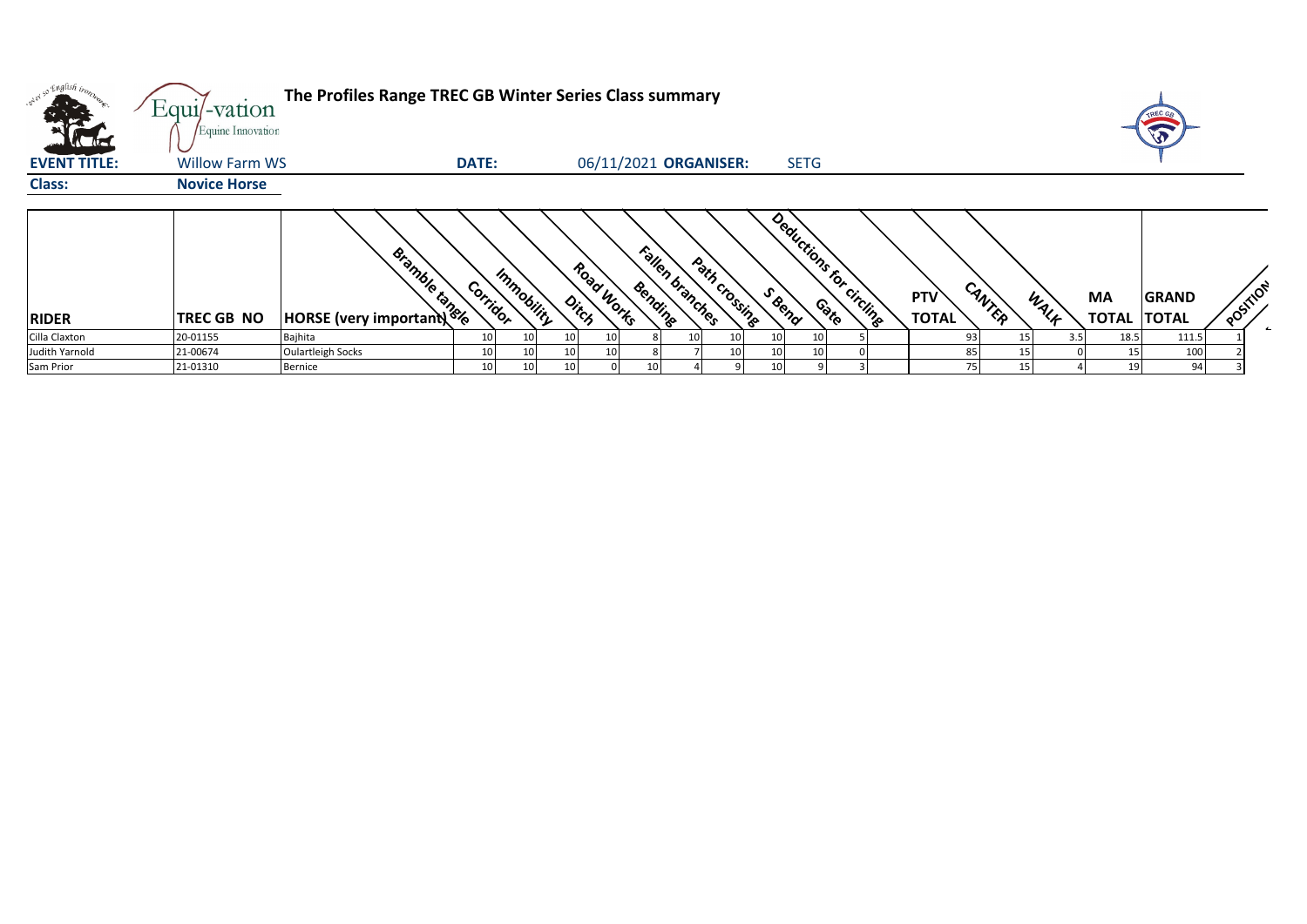|                     | Equi/-vation<br>Equine Innovation | The Profiles Range TREC GB Winter Series Class summary |                 |                 |       |            |         |                 |                       |        |                         |  |                     |        |      |     |      | TREC GE<br>E                       |          |                          |
|---------------------|-----------------------------------|--------------------------------------------------------|-----------------|-----------------|-------|------------|---------|-----------------|-----------------------|--------|-------------------------|--|---------------------|--------|------|-----|------|------------------------------------|----------|--------------------------|
| <b>EVENT TITLE:</b> | <b>Willow Farm WS</b>             |                                                        | <b>DATE:</b>    |                 |       |            |         |                 | 06/11/2021 ORGANISER: |        | <b>SETG</b>             |  |                     |        |      |     |      |                                    |          |                          |
| <b>Class:</b>       | <b>Novice Horse</b>               |                                                        |                 |                 |       |            |         |                 |                       |        |                         |  |                     |        |      |     |      |                                    |          |                          |
| <b>RIDER</b>        | <b>TREC GB NO</b>                 | <b>EMAGES</b>                                          | Corridor        | Immobility      | Ditch | Road Works | Bending | Fallen branches | Path crossing         | S Bend | Deductions for circling |  | PTV<br><b>TOTAL</b> | CANTER | WALF | MA  |      | <b>GRAND</b><br><b>TOTAL TOTAL</b> | POSTILON | $\overline{\phantom{a}}$ |
| Cilla Claxton       | 20-01155                          | Bajhita                                                | 10 <sup>1</sup> | 10 <sub>1</sub> |       |            |         |                 |                       |        | 10                      |  |                     | 93     | 15   | 3.5 | 18.5 | 111.5                              |          |                          |
| Judith Yarnold      | 21-00674                          | <b>Oulartleigh Socks</b>                               |                 |                 |       |            |         |                 |                       |        |                         |  |                     |        |      |     |      | 100                                |          |                          |
| Sam Prior           | 21-01310                          | Bernice                                                | 10              | 10              | 1(    |            |         |                 |                       |        |                         |  |                     |        | 15   |     |      | 94                                 |          |                          |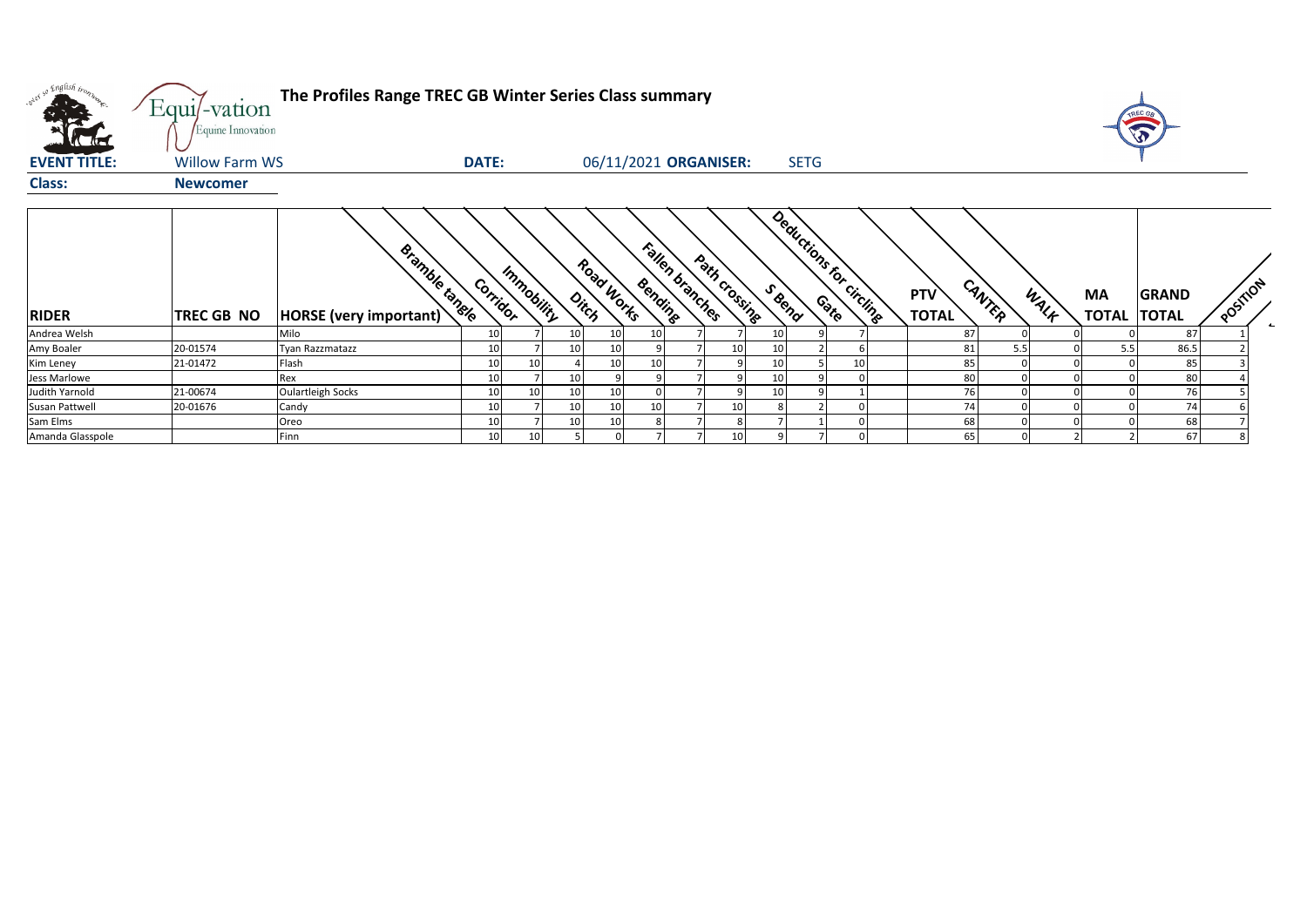| what so English trong | $Equi$ -vation<br>Equine Innovation | The Profiles Range TREC GB Winter Series Class summary |              |            |    |                       |         |                 |                 |                                  |             |    |                            |        |      |                           | TREC GA                      |          |  |
|-----------------------|-------------------------------------|--------------------------------------------------------|--------------|------------|----|-----------------------|---------|-----------------|-----------------|----------------------------------|-------------|----|----------------------------|--------|------|---------------------------|------------------------------|----------|--|
| <b>EVENT TITLE:</b>   | <b>Willow Farm WS</b>               |                                                        | <b>DATE:</b> |            |    | 06/11/2021 ORGANISER: |         |                 |                 |                                  | <b>SETG</b> |    |                            |        |      |                           |                              |          |  |
| <b>Class:</b>         | <b>Newcomer</b>                     |                                                        |              |            |    |                       |         |                 |                 |                                  |             |    |                            |        |      |                           |                              |          |  |
| <b>RIDER</b>          | <b>TREC GB NO</b>                   | <b>Bramble tangle</b><br>HORSE (very important)        | Corridor     | Immobility |    | Road Works<br>Ditch   | Bending | Fallen branches | Path crossing   | Deductions for circling<br>SBend |             |    | <b>PTV</b><br><b>TOTAL</b> | CANTER | WALK | <b>MA</b><br><b>TOTAL</b> | <b>GRAND</b><br><b>TOTAL</b> | POSTIION |  |
| Andrea Welsh          |                                     | Milo                                                   | 10           |            | 10 | 10                    | 10      |                 |                 | 10                               |             |    | 87                         |        |      |                           | 87                           |          |  |
| Amy Boaler            | 20-01574                            | <b>Tyan Razzmatazz</b>                                 | 10           |            | 10 | 10                    |         |                 | 10              | 10 <sup>1</sup>                  |             |    | 81                         | 5.5    |      | 5.5                       | 86.5                         |          |  |
| Kim Leney             | 21-01472                            | Flash                                                  | 10           | 10         |    | 10                    | 10      |                 |                 | 10 <sup>1</sup>                  |             | 10 | 85                         |        |      |                           | 85                           |          |  |
| Jess Marlowe          |                                     | Rex                                                    | 10           |            | 1( |                       |         |                 |                 | 10                               |             |    | 80                         |        |      |                           | 80                           |          |  |
| Judith Yarnold        | 21-00674                            | Oulartleigh Socks                                      | 10           | 10         | 10 | 10                    |         |                 |                 | 10                               |             |    | 76                         |        |      |                           | 76                           |          |  |
| Susan Pattwell        | 20-01676                            | Candy                                                  | 10           |            | 10 | 10                    | 10      |                 | 10 <sup>1</sup> |                                  |             |    | 74                         |        |      |                           | 74                           |          |  |
| Sam Elms              |                                     | Oreo                                                   | 10           |            |    | 10                    |         |                 | 8               |                                  |             |    | 68                         |        |      |                           | 68                           |          |  |
| Amanda Glasspole      |                                     | Finn                                                   | 10           | 10         |    |                       |         |                 | 10 <sup>1</sup> |                                  |             |    | 65                         |        |      |                           | 67                           |          |  |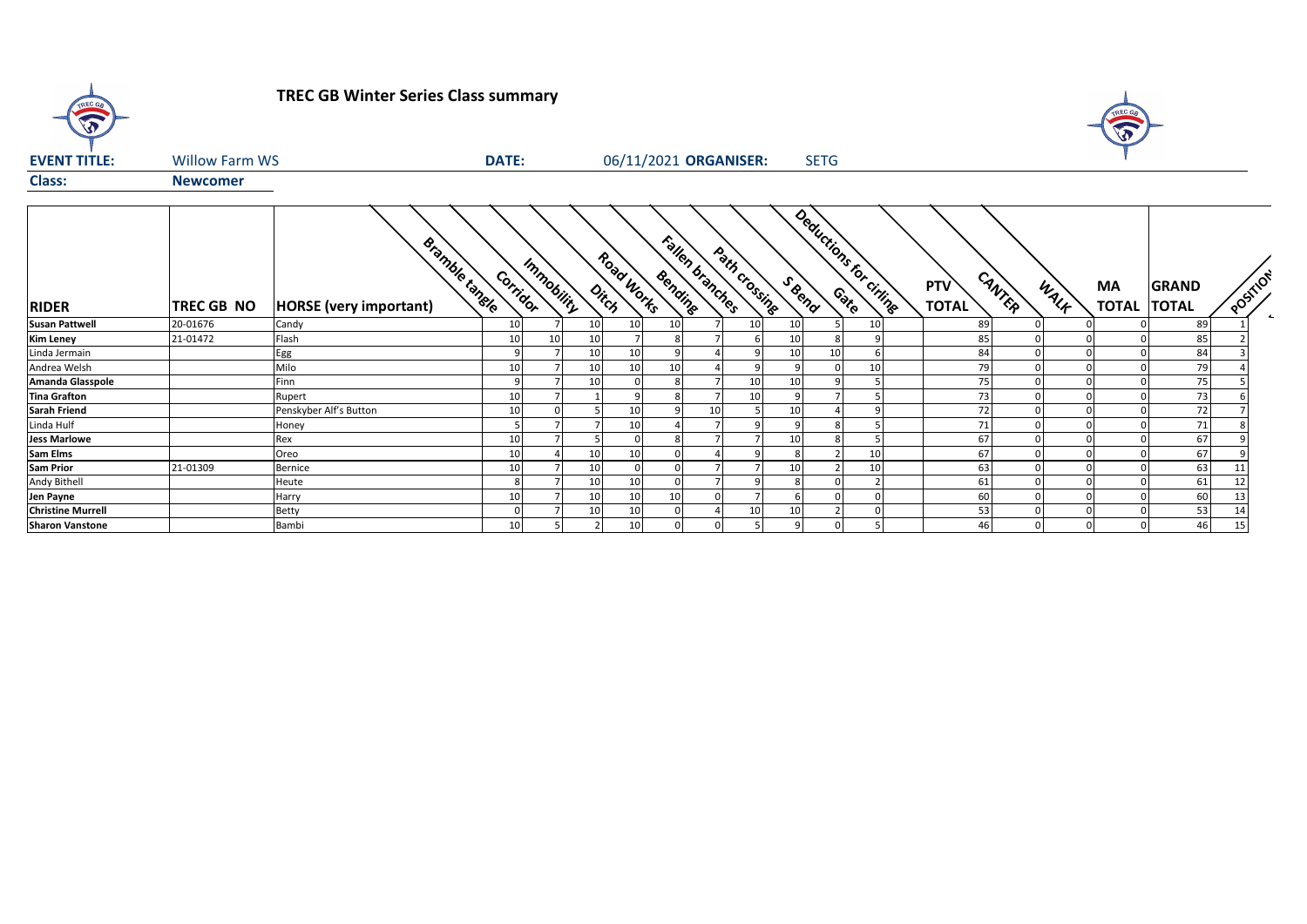**TREC GB Winter Series Class summary**

TREC GR



| <b>EVENT TITLE:</b>      | <b>Willow Farm WS</b> |                                                 | <b>DATE:</b>    |            |                 | 06/11/2021 ORGANISER: |         |    |                 |                 | <b>SETG</b> |                       |                            |        |      |           |                                    |          |  |
|--------------------------|-----------------------|-------------------------------------------------|-----------------|------------|-----------------|-----------------------|---------|----|-----------------|-----------------|-------------|-----------------------|----------------------------|--------|------|-----------|------------------------------------|----------|--|
| <b>Class:</b>            | <b>Newcomer</b>       |                                                 |                 |            |                 |                       |         |    |                 |                 |             |                       |                            |        |      |           |                                    |          |  |
| <b>RIDER</b>             | TREC GB NO            | <b>Bramble tanele</b><br>HORSE (very important) | Corridor        | Immobility |                 | Road Works<br>Ditch   | Bending |    | Fallen branches | Path crossing   | S Bend      | Deductions for civing | <b>PTV</b><br><b>TOTAL</b> | CANTER | WALK | <b>MA</b> | <b>GRAND</b><br><b>TOTAL TOTAL</b> | POSITION |  |
| <b>Susan Pattwell</b>    | 20-01676              | Candy                                           | 10 <sup>1</sup> |            | 10 <sup>1</sup> | 10 <sup>1</sup>       | 10      |    | 10              | 10              |             | 10                    |                            | 89     |      |           | 89                                 |          |  |
| <b>Kim Leney</b>         | 21-01472              | Flash                                           | 10              |            | 10              |                       |         |    |                 | 10              |             |                       |                            | 85     |      |           | 85                                 |          |  |
| Linda Jermain            |                       | Egg                                             |                 |            | 10 <sup>1</sup> | 10                    |         |    | q               | 10 <sup>1</sup> | 10          |                       | 84                         |        |      |           | 84                                 |          |  |
| Andrea Welsh             |                       | Milo                                            | 10              |            | 10 <sup>1</sup> |                       | 10      |    |                 |                 |             | 10                    |                            | 79     |      |           | 79                                 |          |  |
| <b>Amanda Glasspole</b>  |                       | Finn                                            |                 |            | 10              |                       |         |    | 10              | 10              |             |                       |                            | 75     |      |           | 75                                 |          |  |
| <b>Tina Grafton</b>      |                       | Rupert                                          | 10              |            |                 |                       |         |    | 10              |                 |             |                       |                            | 73     |      |           | 73                                 |          |  |
| <b>Sarah Friend</b>      |                       | Penskyber Alf's Button                          | 10              |            |                 | 10                    |         | 10 |                 | 10              |             |                       |                            | 72     |      |           | 72                                 |          |  |
| Linda Hulf               |                       | Honey                                           |                 |            |                 | 10                    |         |    |                 | q               |             |                       |                            | 71     |      |           | 71                                 |          |  |
| <b>Jess Marlowe</b>      |                       | Rex                                             | 10              |            |                 |                       |         |    |                 | 10 <sup>1</sup> |             |                       |                            | 67     |      |           | 67                                 |          |  |
| <b>Sam Elms</b>          |                       | Oreo                                            | 10              |            | 10 <sup>1</sup> | 10                    |         |    |                 |                 |             | 10                    |                            | 67     |      |           | 67                                 |          |  |
| <b>Sam Prior</b>         | 21-01309              | Bernice                                         | 10              |            | 10              |                       |         |    |                 | 10 <sup>1</sup> |             | 10                    |                            | 63     |      |           | 63                                 |          |  |
| Andy Bithell             |                       | Heute                                           | 8               |            | 10              | 10                    |         |    | $\Omega$        | 8               |             |                       |                            | 61     |      |           | 61                                 |          |  |
| Jen Payne                |                       | Harry                                           | 10              |            | 10 <sup>1</sup> | 10                    | 10      |    |                 |                 |             |                       | 60                         |        |      |           | 60                                 |          |  |
| <b>Christine Murrell</b> |                       | <b>Betty</b>                                    |                 |            | 10 <sup>1</sup> |                       |         |    | 10              | 10              |             |                       |                            | 53     |      |           | 53                                 |          |  |
| <b>Sharon Vanstone</b>   |                       | Bambi                                           | 10              |            |                 | 10                    |         |    |                 | q               |             |                       |                            | 46     |      |           | 46                                 | 15       |  |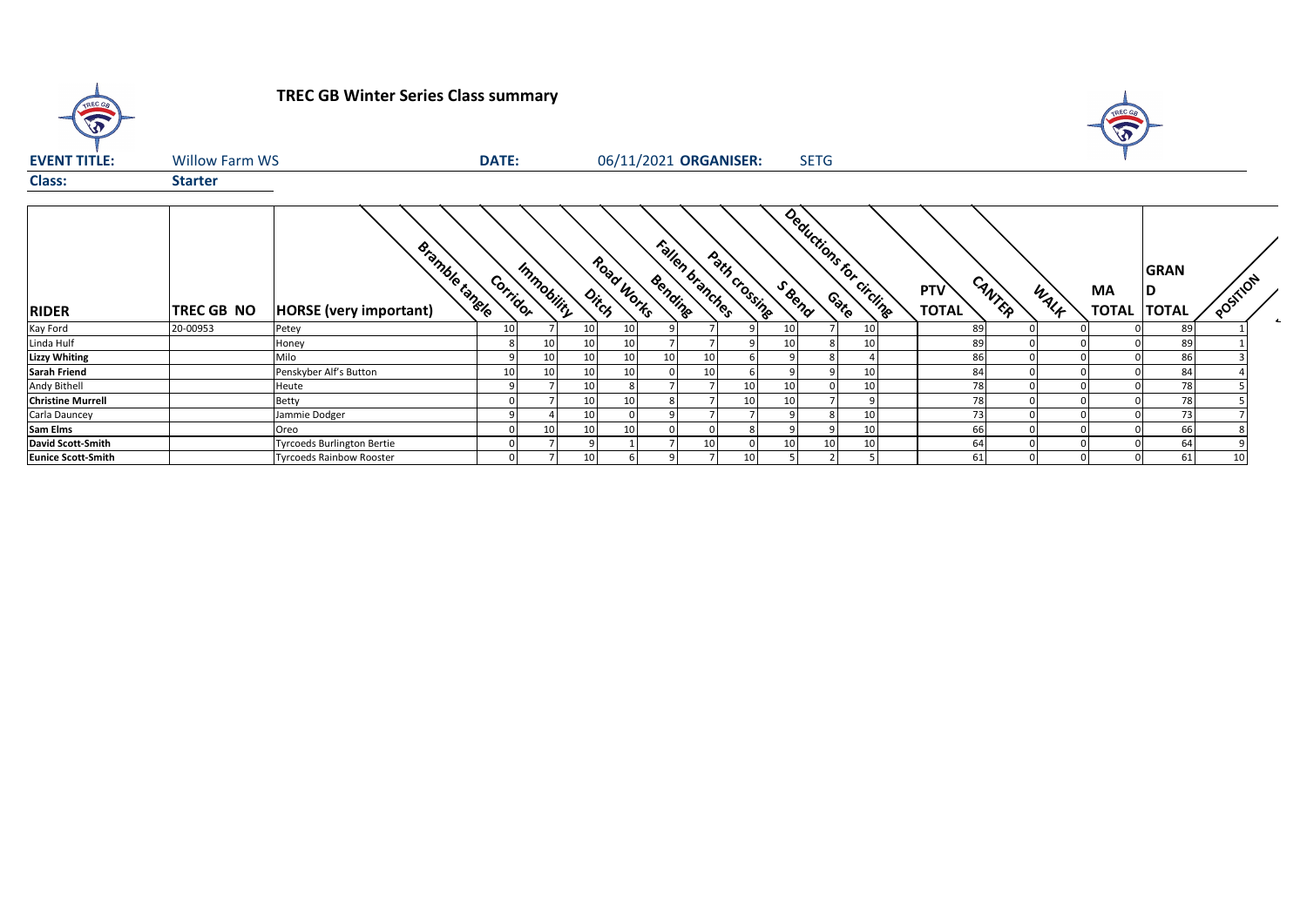| $\widehat{\mathbf{v}}$    |                       | <b>TREC GB Winter Series Class summary</b>             |              |    |                                   |                 |                            |               |                                  |    |                     |        |      |                    |                             |          |        |
|---------------------------|-----------------------|--------------------------------------------------------|--------------|----|-----------------------------------|-----------------|----------------------------|---------------|----------------------------------|----|---------------------|--------|------|--------------------|-----------------------------|----------|--------|
| <b>EVENT TITLE:</b>       | <b>Willow Farm WS</b> |                                                        | <b>DATE:</b> |    |                                   |                 | 06/11/2021 ORGANISER:      |               | <b>SETG</b>                      |    |                     |        |      |                    |                             |          |        |
| <b>Class:</b>             | <b>Starter</b>        |                                                        |              |    |                                   |                 |                            |               |                                  |    |                     |        |      |                    |                             |          |        |
| <b>RIDER</b>              | TREC GB NO            | <b>Bramble tangle</b><br><b>HORSE</b> (very important) | Corridor     |    | Road Works<br>Immobility<br>Ditch |                 | Fallen branches<br>Bending | Path crossing | Deductions for circuite<br>SBend |    | PTV<br><b>TOTAL</b> | CANTER | WALK | MA<br><b>TOTAL</b> | <b>GRAN</b><br><b>TOTAL</b> | POSTILON | $\sim$ |
| Kay Ford                  | 20-00953              | Petey                                                  | 10           |    | 10                                | 10 <sup>1</sup> |                            |               |                                  | 10 | 89                  |        |      |                    |                             | 89       |        |
| Linda Hulf                |                       | Honey                                                  |              | 10 | 10                                | 10 <sup>1</sup> |                            |               |                                  | 10 | 89                  |        |      |                    |                             | 89       |        |
| <b>Lizzy Whiting</b>      |                       | Milo                                                   |              | 10 | 10                                | 10 <sup>1</sup> | 10<br>10                   |               |                                  |    | 86                  |        |      |                    |                             | 86       |        |
| <b>Sarah Friend</b>       |                       | Penskyber Alf's Button                                 | 10           | 10 | 10                                | 10 <sup>1</sup> | 10                         |               |                                  | 10 | 84                  |        |      |                    |                             | 84       |        |
| Andy Bithell              |                       | Heute                                                  |              |    | 10                                |                 |                            | 10            |                                  | 10 | 78                  |        |      |                    |                             | 78       |        |
| <b>Christine Murrell</b>  |                       | Betty                                                  |              |    | 10                                | 10 <sup>1</sup> |                            | 10            |                                  | q  | 78                  |        |      |                    |                             | 78       |        |
| Carla Dauncey             |                       | Jammie Dodger                                          |              |    | 10                                |                 |                            |               |                                  | 10 | 73                  |        |      |                    |                             | 73       |        |
| <b>Sam Elms</b>           |                       | Oreo                                                   |              | 10 | 10                                | 10 <sup>1</sup> |                            |               |                                  | 10 | 66                  |        |      |                    |                             | 66       |        |
| <b>David Scott-Smith</b>  |                       | <b>Tyrcoeds Burlington Bertie</b>                      |              |    |                                   |                 | 10                         |               | 10                               | 10 | 64                  |        |      |                    |                             | 64       |        |
| <b>Eunice Scott-Smith</b> |                       | <b>Tyrcoeds Rainbow Rooster</b>                        |              |    | 10                                | 61              | 9                          | 10            |                                  |    | 61                  |        |      |                    |                             | 61<br>10 |        |